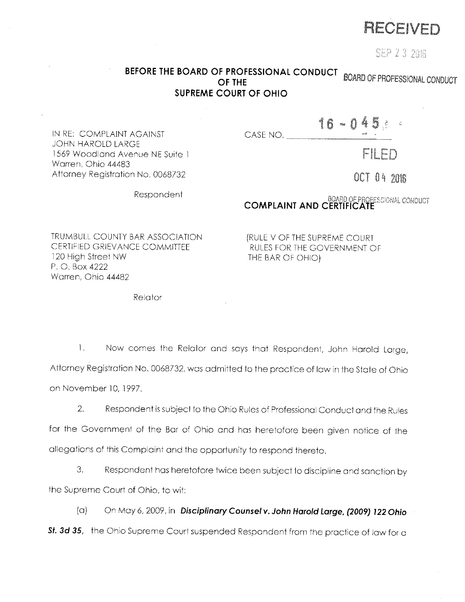

SEP 23 2016

## **BEFORE THE BOARD OF PROFESSIONAL CONDUCT BOARD OF PROFESSIONAL CONDUCT SUPREME COURT OF OHIO**

CASE NO.

FILFD

OCT 04 2016

Respondent

# **COMPLAINT AND CERTIFICATE**

 $16 - 045$ 

TRUMBULL COUNTY BAR ASSOCIATION CERTIFIED GRIEVANCE COMMITTEE 120 High Street NW P. 0. Box 4222 Warren. Ohio 44482

IN RE: COMPLAINT AGAINST

1569 Woodland Avenue NE Suite l

Attorney Registration No. 0068732

JOHN HAROLD LARGE

Warren. Ohio 44483

[RULE V OF THE SUPREME COURT RULES FOR THE GOVERNMENT OF THE BAR OF OHIO)

Relator

1. Now comes the Relator and says that Respondent, John Harold Large, Attorney Registration No. 0068732, was admitted to the practice of law in the State of Ohio on November 10, 1997.

2. Respondent is subject to the Ohio Rules of Professional Conduct and the Rules for the Government of the Bar of Ohio and hos heretofore been given notice of the allegations of this Complaint and the opportunity to respond thereto.

3. Respondent hos heretofore twice been subject to discipline and sanction by the Supreme Court of Ohio. to wit:

(a) On Moy 6, 2009, in **DisciplinaryCounsetv. John Harold Large, (2009) 122 Ohio Sf.** *3d 35,* the Ohio Supreme Court suspended Respondent from the practice of low for a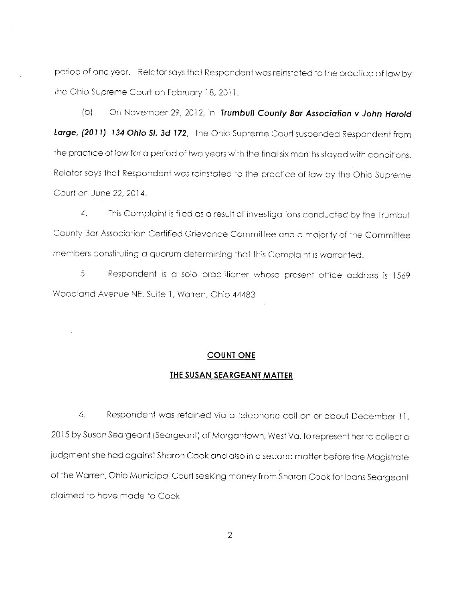period of one year. Relator says that Respondent was reinstated to the practice of law by the Ohio Supreme Court on February 18, 2011.

(b) On November 29, 2012, in **Trumbull County Bar Association v John Harold Large, (2011) 134 Ohio St. 3d 172,** the Ohio Supreme Court suspended Respondent from the practice of law for a period of two years with the final six months stayed with conditions. Relator says that Respondent was reinstated to the practice of law by the Ohio Supreme Court on June 22, 2014.

4. This Complaint is filed as a result of investigations conducted by the Trumbull County Bar Association Certified Grievance Committee and a majority of the Committee members constituting a quorum determining that this Complaint is warranted.

5. Respondent is a solo practitioner whose present office address is 1569 Woodland Avenue NE, Suite 1, Warren, Ohio 44483

#### **COUNT ONE**

#### **THE SUSAN SEARGEANT MATTER**

6. Respondent was retained via a telephone call on or about December 11, 2015 by Susan Seargeant (Seorgeant) of Morgantown, West Va. to represent her to collect a judgment she had against Sharon Cook and also in a second matter before the Magistrate of the Warren, Ohio Municipal Court seeking money from Sharon Cook for loans Seargeant claimed to have made to Cook.

2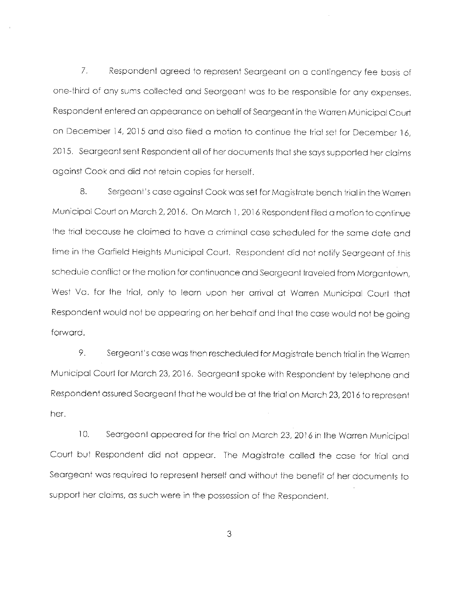7. Respondent agreed to represent Seargeant on a contingency fee basis of one-third of any sums collected and Seargeant was to be responsible for any expenses. Respondent entered an appearance on behalf of Seargeant in the Warren Municipal Court on December 14, 2015 and also filed a motion to continue the trial set for December 16, 2015. Seargeant sent Respondent all of her documents that she says supported her claims against Cook and did not retain copies for herself.

8. Sergeant's case against Cook was set for Magistrate bench trial in the Warren Municipal Court on Morch 2, 2016. On March 1, 2016 Respondent filed a motion to continue the trial because he claimed to have a criminal case scheduled for the same date and time in the Garfield Heights Municipal Court. Respondent did not notify Seargeant of this schedule conflict or the motion for continuance and Seargeant traveled from Morgantown, West Va. for the trial, only to learn upon her arrival at Warren Municipal Court that Respondent would not be appearing on her behalf and that the case would not be going forward.

9. Sergeant's case was then rescheduled for Magistrate bench trial in the Warren Municipal Court for March 23, 2016. Seargeant spoke with Respondent by telephone and Respondent assured Seargeant that he would be at the trial on March 23, 2016 to represent her.

10. Seargeant appeared for the trial on March 23, 2016 in the Warren Municipal Court but Respondent did not appear. The Magistrate called the case for trial and Seargeant was required to represent herself and without the benefit of her documents to support her claims, as such were in the possession of the Respondent.

3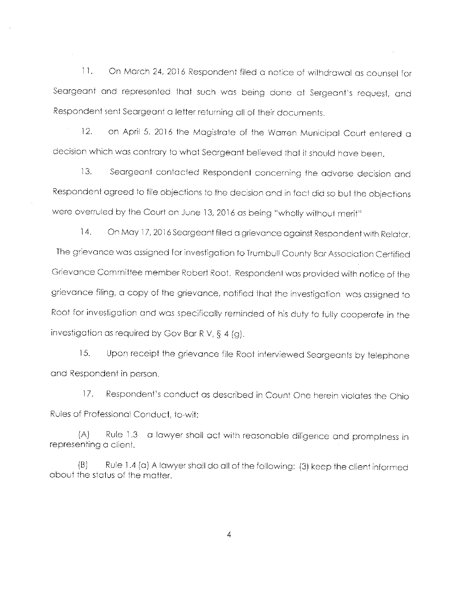11. On March 24, 2016 Respondent filed a notice of withdrawal as counsel for Seargeant and represented that such was being done at Sergeant's request, and Respondent sent Seargeant a letter returning all of their documents.

12. on April 5. 2016 the Magistrate of the Warren Municipal Court entered a decision which was contrary to what Seargeant believed that it should have been.

13. Seargeant contacted Respondent concerning the adverse decision and Respondent agreed to file objections to the decision and in fact did so but the objections were overruled by the Court on June 13, 2016 as being "wholly without merit"

14. On May 17, 2016 Seargeant filed a grievance against Respondent with Relator. The grievance was assigned for investigation to Trumbull County Bar Association Certified Grievance Committee member Robert Root. Respondent was provided with notice of the grievance filing, a copy of the grievance, notified that the investigation was assigned to Root for investigation and was specifically reminded of his duty to fully cooperate in the investigation as required by Gov Bar R V,  $\S$  4 (g).

15. Upon receipt the grievance file Root interviewed Seargeants by telephone and Respondent in person.

17. Respondent's conduct as described in Count One herein violates the Ohio Rules of Professional Conduct, to-wit:

(A) Rule 1 .3 a lawyer shall act with reasonable diligence and promptness in representing a client.

(BJ Rule 1.4 (a) A lawyer shall do all of the following: (3) keep the client informed about the status of the matter.

4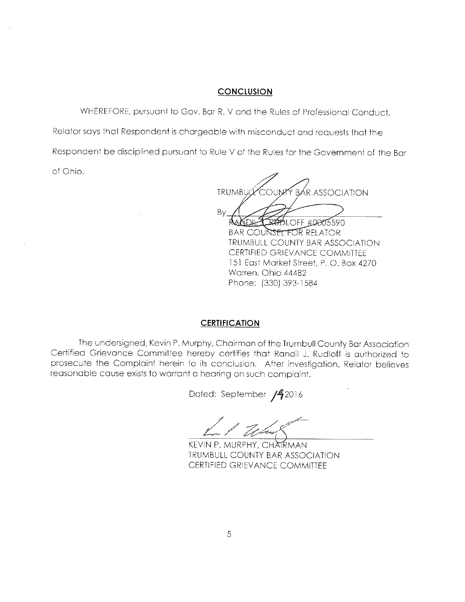#### **CONCLUSION**

WHEREFORE, pursuant to Gov. Bar R. V and the Rules of Professional Conduct,

Relator says that Respondent is chargeable with misconduct and requests that the

Respondent be disciplined pursuant to Rule V of the Rules for the Government of the Bar

of Ohio.

BAR ASSOCIATION TRUMBU By <del>UD</del>LOFF #0005590

BAR COUNSEL FOR RELATOR TRUMBULL COUNTY BAR ASSOCIATION CERTIFIED GRIEVANCE COMMITTEE 151 East Market Street, P. 0. Box 4270 Warren, Ohio 44482 Phone: (330) 393- 1584

#### **CERTIFICATION**

The undersigned, Kevin P. Murphy, Chairman of the Trumbull County Bar Association Certified Grievance Committee hereby certifies that Randil J. Rudloff is authorized to prosecute the Complaint herein to its conclusion. After investigation, Relator believes reasonable cause exists to warrant a hearing on such complaint.

Dated: September /42016

L ,/· *;?bL* ;';/"-

KEVIN P. MURPHY, CHATRMAN TRUMBULL COUNTY BAR ASSOCIATION CERTIFIED GRIEVANCE COMMITTEE